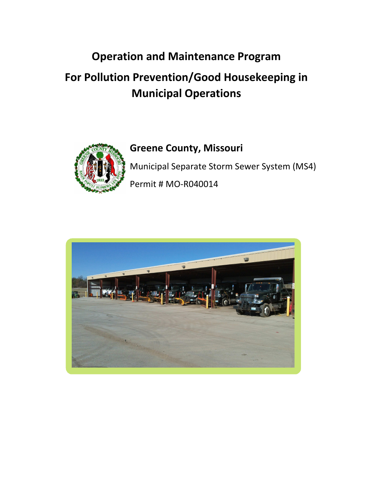### **Operation and Maintenance Program**

### **For Pollution Prevention/Good Housekeeping in Municipal Operations**



#### **Greene County, Missouri**

Municipal Separate Storm Sewer System (MS4) Permit # MO-R040014

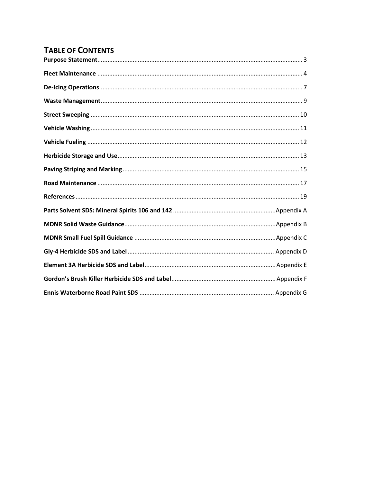#### **TABLE OF CONTENTS**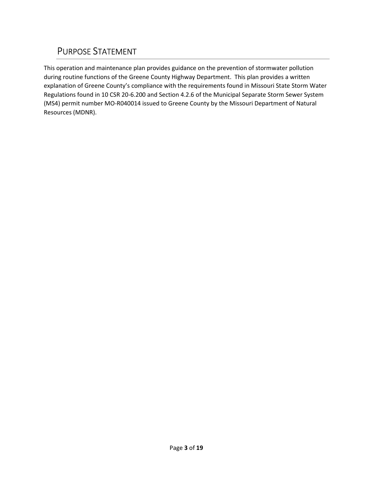#### PURPOSE STATEMENT

This operation and maintenance plan provides guidance on the prevention of stormwater pollution during routine functions of the Greene County Highway Department. This plan provides a written explanation of Greene County's compliance with the requirements found in Missouri State Storm Water Regulations found in 10 CSR 20-6.200 and Section 4.2.6 of the Municipal Separate Storm Sewer System (MS4) permit number MO-R040014 issued to Greene County by the Missouri Department of Natural Resources (MDNR).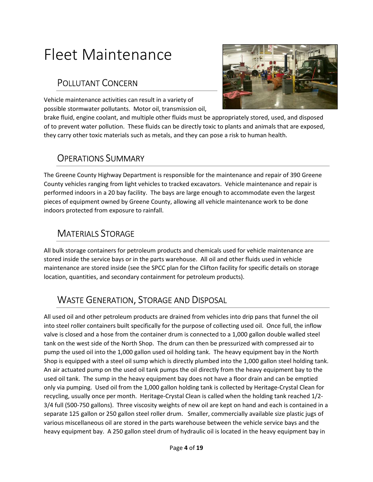## Fleet Maintenance

#### POLLUTANT CONCERN

Vehicle maintenance activities can result in a variety of possible stormwater pollutants. Motor oil, transmission oil,



brake fluid, engine coolant, and multiple other fluids must be appropriately stored, used, and disposed of to prevent water pollution. These fluids can be directly toxic to plants and animals that are exposed, they carry other toxic materials such as metals, and they can pose a risk to human health.

#### OPERATIONS SUMMARY

The Greene County Highway Department is responsible for the maintenance and repair of 390 Greene County vehicles ranging from light vehicles to tracked excavators. Vehicle maintenance and repair is performed indoors in a 20 bay facility. The bays are large enough to accommodate even the largest pieces of equipment owned by Greene County, allowing all vehicle maintenance work to be done indoors protected from exposure to rainfall.

#### MATERIALS STORAGE

All bulk storage containers for petroleum products and chemicals used for vehicle maintenance are stored inside the service bays or in the parts warehouse. All oil and other fluids used in vehicle maintenance are stored inside (see the SPCC plan for the Clifton facility for specific details on storage location, quantities, and secondary containment for petroleum products).

### WASTE GENERATION, STORAGE AND DISPOSAL

All used oil and other petroleum products are drained from vehicles into drip pans that funnel the oil into steel roller containers built specifically for the purpose of collecting used oil. Once full, the inflow valve is closed and a hose from the container drum is connected to a 1,000 gallon double walled steel tank on the west side of the North Shop. The drum can then be pressurized with compressed air to pump the used oil into the 1,000 gallon used oil holding tank. The heavy equipment bay in the North Shop is equipped with a steel oil sump which is directly plumbed into the 1,000 gallon steel holding tank. An air actuated pump on the used oil tank pumps the oil directly from the heavy equipment bay to the used oil tank. The sump in the heavy equipment bay does not have a floor drain and can be emptied only via pumping. Used oil from the 1,000 gallon holding tank is collected by Heritage-Crystal Clean for recycling, usually once per month. Heritage-Crystal Clean is called when the holding tank reached 1/2- 3/4 full (500-750 gallons). Three viscosity weights of new oil are kept on hand and each is contained in a separate 125 gallon or 250 gallon steel roller drum. Smaller, commercially available size plastic jugs of various miscellaneous oil are stored in the parts warehouse between the vehicle service bays and the heavy equipment bay. A 250 gallon steel drum of hydraulic oil is located in the heavy equipment bay in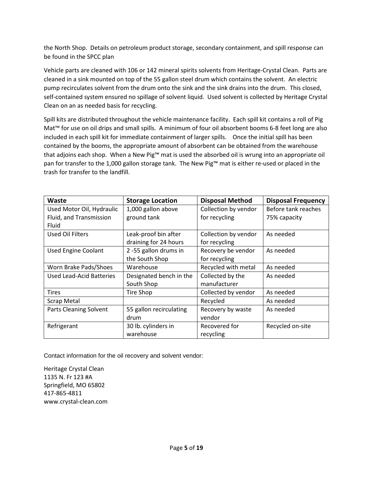the North Shop. Details on petroleum product storage, secondary containment, and spill response can be found in the SPCC plan

Vehicle parts are cleaned with 106 or 142 mineral spirits solvents from Heritage-Crystal Clean. Parts are cleaned in a sink mounted on top of the 55 gallon steel drum which contains the solvent. An electric pump recirculates solvent from the drum onto the sink and the sink drains into the drum. This closed, self-contained system ensured no spillage of solvent liquid. Used solvent is collected by Heritage Crystal Clean on an as needed basis for recycling.

Spill kits are distributed throughout the vehicle maintenance facility. Each spill kit contains a roll of Pig Mat™ for use on oil drips and small spills. A minimum of four oil absorbent booms 6-8 feet long are also included in each spill kit for immediate containment of larger spills. Once the initial spill has been contained by the booms, the appropriate amount of absorbent can be obtained from the warehouse that adjoins each shop. When a New Pig™ mat is used the absorbed oil is wrung into an appropriate oil pan for transfer to the 1,000 gallon storage tank. The New Pig™ mat is either re-used or placed in the trash for transfer to the landfill.

| <b>Waste</b>                  | <b>Storage Location</b> | <b>Disposal Method</b> | <b>Disposal Frequency</b> |
|-------------------------------|-------------------------|------------------------|---------------------------|
| Used Motor Oil, Hydraulic     | 1,000 gallon above      | Collection by vendor   | Before tank reaches       |
| Fluid, and Transmission       | ground tank             | for recycling          | 75% capacity              |
| Fluid                         |                         |                        |                           |
| Used Oil Filters              | Leak-proof bin after    | Collection by vendor   | As needed                 |
|                               | draining for 24 hours   | for recycling          |                           |
| <b>Used Engine Coolant</b>    | 2-55 gallon drums in    | Recovery be vendor     | As needed                 |
|                               | the South Shop          | for recycling          |                           |
| Worn Brake Pads/Shoes         | Warehouse               | Recycled with metal    | As needed                 |
| Used Lead-Acid Batteries      | Designated bench in the | Collected by the       | As needed                 |
|                               | South Shop              | manufacturer           |                           |
| <b>Tires</b>                  | <b>Tire Shop</b>        | Collected by vendor    | As needed                 |
| <b>Scrap Metal</b>            |                         | Recycled               | As needed                 |
| <b>Parts Cleaning Solvent</b> | 55 gallon recirculating | Recovery by waste      | As needed                 |
|                               | drum                    | vendor                 |                           |
| Refrigerant                   | 30 lb. cylinders in     | Recovered for          | Recycled on-site          |
|                               | warehouse               | recycling              |                           |

Contact information for the oil recovery and solvent vendor:

Heritage Crystal Clean 1135 N. Fr 123 #A Springfield, MO 65802 417-865-4811 www.crystal-clean.com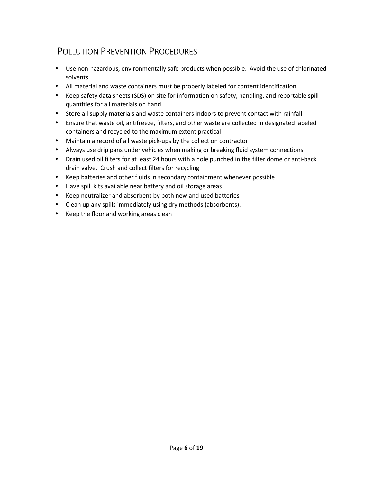- Use non-hazardous, environmentally safe products when possible. Avoid the use of chlorinated solvents
- All material and waste containers must be properly labeled for content identification
- Keep safety data sheets (SDS) on site for information on safety, handling, and reportable spill quantities for all materials on hand
- Store all supply materials and waste containers indoors to prevent contact with rainfall
- Ensure that waste oil, antifreeze, filters, and other waste are collected in designated labeled containers and recycled to the maximum extent practical
- Maintain a record of all waste pick-ups by the collection contractor
- Always use drip pans under vehicles when making or breaking fluid system connections
- Drain used oil filters for at least 24 hours with a hole punched in the filter dome or anti-back drain valve. Crush and collect filters for recycling
- Keep batteries and other fluids in secondary containment whenever possible
- Have spill kits available near battery and oil storage areas
- Keep neutralizer and absorbent by both new and used batteries
- Clean up any spills immediately using dry methods (absorbents).
- Keep the floor and working areas clean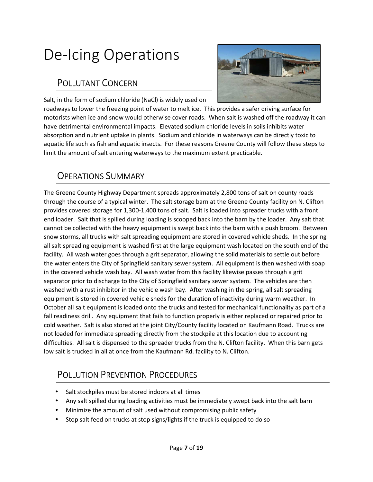## De-Icing Operations

#### POLLUTANT CONCERN

Salt, in the form of sodium chloride (NaCl) is widely used on



roadways to lower the freezing point of water to melt ice. This provides a safer driving surface for motorists when ice and snow would otherwise cover roads. When salt is washed off the roadway it can have detrimental environmental impacts. Elevated sodium chloride levels in soils inhibits water absorption and nutrient uptake in plants. Sodium and chloride in waterways can be directly toxic to aquatic life such as fish and aquatic insects. For these reasons Greene County will follow these steps to limit the amount of salt entering waterways to the maximum extent practicable.

#### OPERATIONS SUMMARY

The Greene County Highway Department spreads approximately 2,800 tons of salt on county roads through the course of a typical winter. The salt storage barn at the Greene County facility on N. Clifton provides covered storage for 1,300-1,400 tons of salt. Salt is loaded into spreader trucks with a front end loader. Salt that is spilled during loading is scooped back into the barn by the loader. Any salt that cannot be collected with the heavy equipment is swept back into the barn with a push broom. Between snow storms, all trucks with salt spreading equipment are stored in covered vehicle sheds. In the spring all salt spreading equipment is washed first at the large equipment wash located on the south end of the facility. All wash water goes through a grit separator, allowing the solid materials to settle out before the water enters the City of Springfield sanitary sewer system. All equipment is then washed with soap in the covered vehicle wash bay. All wash water from this facility likewise passes through a grit separator prior to discharge to the City of Springfield sanitary sewer system. The vehicles are then washed with a rust inhibitor in the vehicle wash bay. After washing in the spring, all salt spreading equipment is stored in covered vehicle sheds for the duration of inactivity during warm weather. In October all salt equipment is loaded onto the trucks and tested for mechanical functionality as part of a fall readiness drill. Any equipment that fails to function properly is either replaced or repaired prior to cold weather. Salt is also stored at the joint City/County facility located on Kaufmann Road. Trucks are not loaded for immediate spreading directly from the stockpile at this location due to accounting difficulties. All salt is dispensed to the spreader trucks from the N. Clifton facility. When this barn gets low salt is trucked in all at once from the Kaufmann Rd. facility to N. Clifton.

- Salt stockpiles must be stored indoors at all times
- Any salt spilled during loading activities must be immediately swept back into the salt barn
- Minimize the amount of salt used without compromising public safety
- Stop salt feed on trucks at stop signs/lights if the truck is equipped to do so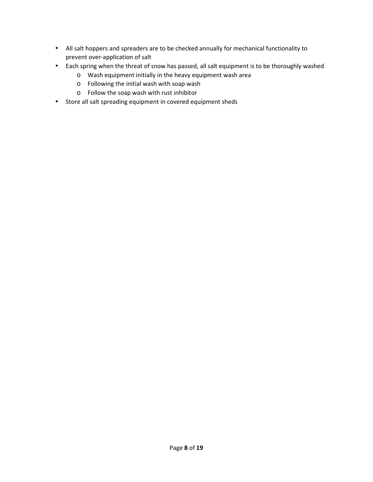- All salt hoppers and spreaders are to be checked annually for mechanical functionality to prevent over-application of salt
- Each spring when the threat of snow has passed, all salt equipment is to be thoroughly washed
	- o Wash equipment initially in the heavy equipment wash area
	- o Following the initial wash with soap wash
	- o Follow the soap wash with rust inhibitor
- Store all salt spreading equipment in covered equipment sheds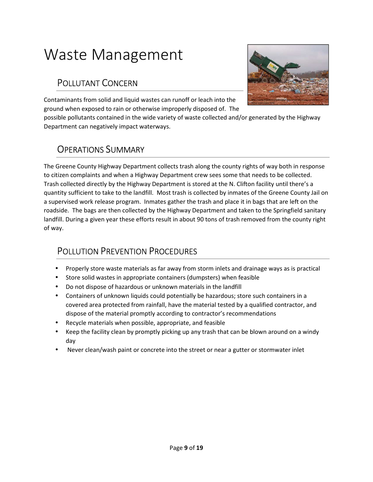## Waste Management

#### POLLUTANT CONCERN



Contaminants from solid and liquid wastes can runoff or leach into the ground when exposed to rain or otherwise improperly disposed of. The

possible pollutants contained in the wide variety of waste collected and/or generated by the Highway Department can negatively impact waterways.

#### OPERATIONS SUMMARY

The Greene County Highway Department collects trash along the county rights of way both in response to citizen complaints and when a Highway Department crew sees some that needs to be collected. Trash collected directly by the Highway Department is stored at the N. Clifton facility until there's a quantity sufficient to take to the landfill. Most trash is collected by inmates of the Greene County Jail on a supervised work release program. Inmates gather the trash and place it in bags that are left on the roadside. The bags are then collected by the Highway Department and taken to the Springfield sanitary landfill. During a given year these efforts result in about 90 tons of trash removed from the county right of way.

- Properly store waste materials as far away from storm inlets and drainage ways as is practical
- Store solid wastes in appropriate containers (dumpsters) when feasible
- Do not dispose of hazardous or unknown materials in the landfill
- Containers of unknown liquids could potentially be hazardous; store such containers in a covered area protected from rainfall, have the material tested by a qualified contractor, and dispose of the material promptly according to contractor's recommendations
- Recycle materials when possible, appropriate, and feasible
- Keep the facility clean by promptly picking up any trash that can be blown around on a windy day
- Never clean/wash paint or concrete into the street or near a gutter or stormwater inlet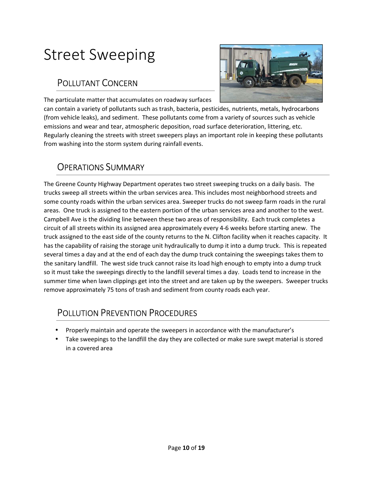### Street Sweeping

#### POLLUTANT CONCERN



The particulate matter that accumulates on roadway surfaces

can contain a variety of pollutants such as trash, bacteria, pesticides, nutrients, metals, hydrocarbons (from vehicle leaks), and sediment. These pollutants come from a variety of sources such as vehicle emissions and wear and tear, atmospheric deposition, road surface deterioration, littering, etc. Regularly cleaning the streets with street sweepers plays an important role in keeping these pollutants from washing into the storm system during rainfall events.

#### OPERATIONS SUMMARY

The Greene County Highway Department operates two street sweeping trucks on a daily basis. The trucks sweep all streets within the urban services area. This includes most neighborhood streets and some county roads within the urban services area. Sweeper trucks do not sweep farm roads in the rural areas. One truck is assigned to the eastern portion of the urban services area and another to the west. Campbell Ave is the dividing line between these two areas of responsibility. Each truck completes a circuit of all streets within its assigned area approximately every 4-6 weeks before starting anew. The truck assigned to the east side of the county returns to the N. Clifton facility when it reaches capacity. It has the capability of raising the storage unit hydraulically to dump it into a dump truck. This is repeated several times a day and at the end of each day the dump truck containing the sweepings takes them to the sanitary landfill. The west side truck cannot raise its load high enough to empty into a dump truck so it must take the sweepings directly to the landfill several times a day. Loads tend to increase in the summer time when lawn clippings get into the street and are taken up by the sweepers. Sweeper trucks remove approximately 75 tons of trash and sediment from county roads each year.

- Properly maintain and operate the sweepers in accordance with the manufacturer's
- Take sweepings to the landfill the day they are collected or make sure swept material is stored in a covered area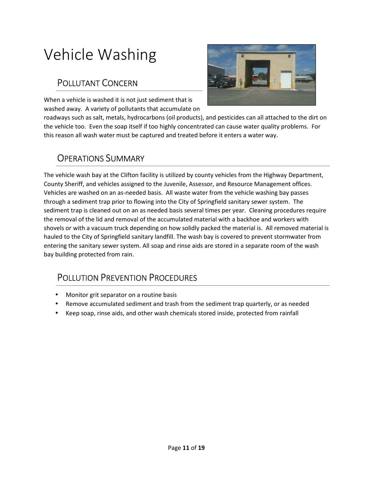## Vehicle Washing

#### POLLUTANT CONCERN

When a vehicle is washed it is not just sediment that is washed away. A variety of pollutants that accumulate on



roadways such as salt, metals, hydrocarbons (oil products), and pesticides can all attached to the dirt on the vehicle too. Even the soap itself if too highly concentrated can cause water quality problems. For this reason all wash water must be captured and treated before it enters a water way.

#### OPERATIONS SUMMARY

The vehicle wash bay at the Clifton facility is utilized by county vehicles from the Highway Department, County Sheriff, and vehicles assigned to the Juvenile, Assessor, and Resource Management offices. Vehicles are washed on an as-needed basis. All waste water from the vehicle washing bay passes through a sediment trap prior to flowing into the City of Springfield sanitary sewer system. The sediment trap is cleaned out on an as needed basis several times per year. Cleaning procedures require the removal of the lid and removal of the accumulated material with a backhoe and workers with shovels or with a vacuum truck depending on how solidly packed the material is. All removed material is hauled to the City of Springfield sanitary landfill. The wash bay is covered to prevent stormwater from entering the sanitary sewer system. All soap and rinse aids are stored in a separate room of the wash bay building protected from rain.

- Monitor grit separator on a routine basis
- Remove accumulated sediment and trash from the sediment trap quarterly, or as needed
- Keep soap, rinse aids, and other wash chemicals stored inside, protected from rainfall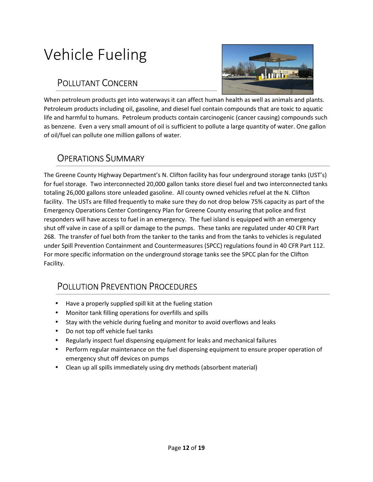## Vehicle Fueling

#### POLLUTANT CONCERN



When petroleum products get into waterways it can affect human health as well as animals and plants. Petroleum products including oil, gasoline, and diesel fuel contain compounds that are toxic to aquatic life and harmful to humans. Petroleum products contain carcinogenic (cancer causing) compounds such as benzene. Even a very small amount of oil is sufficient to pollute a large quantity of water. One gallon of oil/fuel can pollute one million gallons of water.

#### OPERATIONS SUMMARY

The Greene County Highway Department's N. Clifton facility has four underground storage tanks (UST's) for fuel storage. Two interconnected 20,000 gallon tanks store diesel fuel and two interconnected tanks totaling 26,000 gallons store unleaded gasoline. All county owned vehicles refuel at the N. Clifton facility. The USTs are filled frequently to make sure they do not drop below 75% capacity as part of the Emergency Operations Center Contingency Plan for Greene County ensuring that police and first responders will have access to fuel in an emergency. The fuel island is equipped with an emergency shut off valve in case of a spill or damage to the pumps. These tanks are regulated under 40 CFR Part 268. The transfer of fuel both from the tanker to the tanks and from the tanks to vehicles is regulated under Spill Prevention Containment and Countermeasures (SPCC) regulations found in 40 CFR Part 112. For more specific information on the underground storage tanks see the SPCC plan for the Clifton Facility.

- Have a properly supplied spill kit at the fueling station
- Monitor tank filling operations for overfills and spills
- Stay with the vehicle during fueling and monitor to avoid overflows and leaks
- Do not top off vehicle fuel tanks
- Regularly inspect fuel dispensing equipment for leaks and mechanical failures
- Perform regular maintenance on the fuel dispensing equipment to ensure proper operation of emergency shut off devices on pumps
- Clean up all spills immediately using dry methods (absorbent material)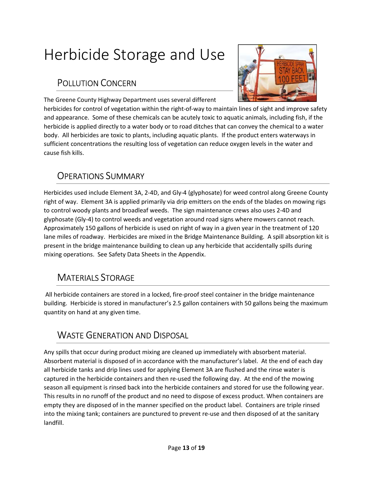## Herbicide Storage and Use

#### POLLUTION CONCERN



The Greene County Highway Department uses several different

herbicides for control of vegetation within the right-of-way to maintain lines of sight and improve safety and appearance. Some of these chemicals can be acutely toxic to aquatic animals, including fish, if the herbicide is applied directly to a water body or to road ditches that can convey the chemical to a water body. All herbicides are toxic to plants, including aquatic plants. If the product enters waterways in sufficient concentrations the resulting loss of vegetation can reduce oxygen levels in the water and cause fish kills.

#### OPERATIONS SUMMARY

Herbicides used include Element 3A, 2-4D, and Gly-4 (glyphosate) for weed control along Greene County right of way. Element 3A is applied primarily via drip emitters on the ends of the blades on mowing rigs to control woody plants and broadleaf weeds. The sign maintenance crews also uses 2-4D and glyphosate (Gly-4) to control weeds and vegetation around road signs where mowers cannot reach. Approximately 150 gallons of herbicide is used on right of way in a given year in the treatment of 120 lane miles of roadway. Herbicides are mixed in the Bridge Maintenance Building. A spill absorption kit is present in the bridge maintenance building to clean up any herbicide that accidentally spills during mixing operations. See Safety Data Sheets in the Appendix.

### MATERIALS STORAGE

 All herbicide containers are stored in a locked, fire-proof steel container in the bridge maintenance building. Herbicide is stored in manufacturer's 2.5 gallon containers with 50 gallons being the maximum quantity on hand at any given time.

### WASTE GENERATION AND DISPOSAL

Any spills that occur during product mixing are cleaned up immediately with absorbent material. Absorbent material is disposed of in accordance with the manufacturer's label. At the end of each day all herbicide tanks and drip lines used for applying Element 3A are flushed and the rinse water is captured in the herbicide containers and then re-used the following day. At the end of the mowing season all equipment is rinsed back into the herbicide containers and stored for use the following year. This results in no runoff of the product and no need to dispose of excess product. When containers are empty they are disposed of in the manner specified on the product label. Containers are triple rinsed into the mixing tank; containers are punctured to prevent re-use and then disposed of at the sanitary landfill.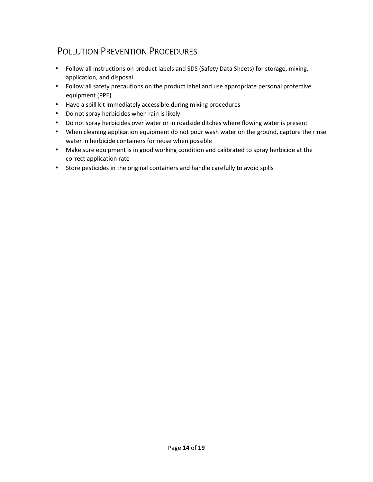- Follow all instructions on product labels and SDS (Safety Data Sheets) for storage, mixing, application, and disposal
- Follow all safety precautions on the product label and use appropriate personal protective equipment (PPE)
- Have a spill kit immediately accessible during mixing procedures
- Do not spray herbicides when rain is likely
- Do not spray herbicides over water or in roadside ditches where flowing water is present
- When cleaning application equipment do not pour wash water on the ground, capture the rinse water in herbicide containers for reuse when possible
- Make sure equipment is in good working condition and calibrated to spray herbicide at the correct application rate
- Store pesticides in the original containers and handle carefully to avoid spills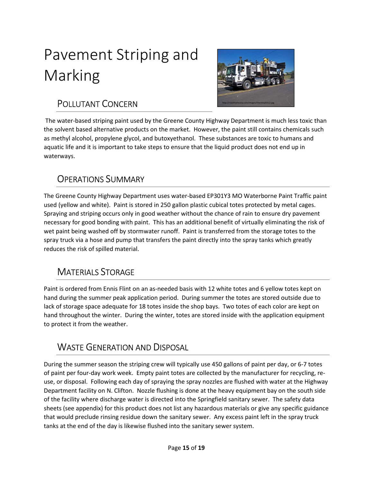# Pavement Striping and Marking



#### POLLUTANT CONCERN

 The water-based striping paint used by the Greene County Highway Department is much less toxic than the solvent based alternative products on the market. However, the paint still contains chemicals such as methyl alcohol, propylene glycol, and butoxyethanol. These substances are toxic to humans and aquatic life and it is important to take steps to ensure that the liquid product does not end up in waterways.

### OPERATIONS SUMMARY

The Greene County Highway Department uses water-based EP301Y3 MO Waterborne Paint Traffic paint used (yellow and white). Paint is stored in 250 gallon plastic cubical totes protected by metal cages. Spraying and striping occurs only in good weather without the chance of rain to ensure dry pavement necessary for good bonding with paint. This has an additional benefit of virtually eliminating the risk of wet paint being washed off by stormwater runoff. Paint is transferred from the storage totes to the spray truck via a hose and pump that transfers the paint directly into the spray tanks which greatly reduces the risk of spilled material.

### MATERIALS STORAGE

Paint is ordered from Ennis Flint on an as-needed basis with 12 white totes and 6 yellow totes kept on hand during the summer peak application period. During summer the totes are stored outside due to lack of storage space adequate for 18 totes inside the shop bays. Two totes of each color are kept on hand throughout the winter. During the winter, totes are stored inside with the application equipment to protect it from the weather.

#### WASTE GENERATION AND DISPOSAL

During the summer season the striping crew will typically use 450 gallons of paint per day, or 6-7 totes of paint per four-day work week. Empty paint totes are collected by the manufacturer for recycling, reuse, or disposal. Following each day of spraying the spray nozzles are flushed with water at the Highway Department facility on N. Clifton. Nozzle flushing is done at the heavy equipment bay on the south side of the facility where discharge water is directed into the Springfield sanitary sewer. The safety data sheets (see appendix) for this product does not list any hazardous materials or give any specific guidance that would preclude rinsing residue down the sanitary sewer. Any excess paint left in the spray truck tanks at the end of the day is likewise flushed into the sanitary sewer system.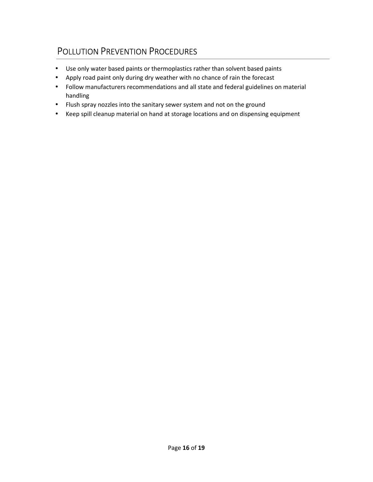- Use only water based paints or thermoplastics rather than solvent based paints
- Apply road paint only during dry weather with no chance of rain the forecast
- Follow manufacturers recommendations and all state and federal guidelines on material handling
- Flush spray nozzles into the sanitary sewer system and not on the ground
- Keep spill cleanup material on hand at storage locations and on dispensing equipment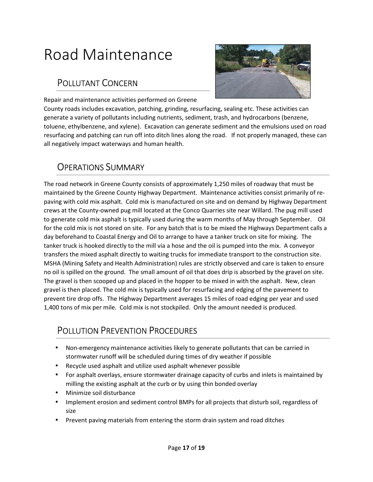## Road Maintenance

#### POLLUTANT CONCERN



Repair and maintenance activities performed on Greene

County roads includes excavation, patching, grinding, resurfacing, sealing etc. These activities can generate a variety of pollutants including nutrients, sediment, trash, and hydrocarbons (benzene, toluene, ethylbenzene, and xylene). Excavation can generate sediment and the emulsions used on road resurfacing and patching can run off into ditch lines along the road. If not properly managed, these can all negatively impact waterways and human health.

#### OPERATIONS SUMMARY

The road network in Greene County consists of approximately 1,250 miles of roadway that must be maintained by the Greene County Highway Department. Maintenance activities consist primarily of repaving with cold mix asphalt. Cold mix is manufactured on site and on demand by Highway Department crews at the County-owned pug mill located at the Conco Quarries site near Willard. The pug mill used to generate cold mix asphalt is typically used during the warm months of May through September. Oil for the cold mix is not stored on site. For any batch that is to be mixed the Highways Department calls a day beforehand to Coastal Energy and Oil to arrange to have a tanker truck on site for mixing. The tanker truck is hooked directly to the mill via a hose and the oil is pumped into the mix. A conveyor transfers the mixed asphalt directly to waiting trucks for immediate transport to the construction site. MSHA (Mining Safety and Health Administration) rules are strictly observed and care is taken to ensure no oil is spilled on the ground. The small amount of oil that does drip is absorbed by the gravel on site. The gravel is then scooped up and placed in the hopper to be mixed in with the asphalt. New, clean gravel is then placed. The cold mix is typically used for resurfacing and edging of the pavement to prevent tire drop offs. The Highway Department averages 15 miles of road edging per year and used 1,400 tons of mix per mile. Cold mix is not stockpiled. Only the amount needed is produced.

- Non-emergency maintenance activities likely to generate pollutants that can be carried in stormwater runoff will be scheduled during times of dry weather if possible
- Recycle used asphalt and utilize used asphalt whenever possible
- For asphalt overlays, ensure stormwater drainage capacity of curbs and inlets is maintained by milling the existing asphalt at the curb or by using thin bonded overlay
- Minimize soil disturbance
- Implement erosion and sediment control BMPs for all projects that disturb soil, regardless of size
- Prevent paving materials from entering the storm drain system and road ditches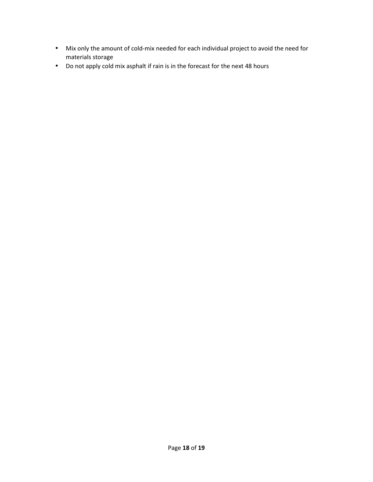- Mix only the amount of cold-mix needed for each individual project to avoid the need for materials storage
- Do not apply cold mix asphalt if rain is in the forecast for the next 48 hours